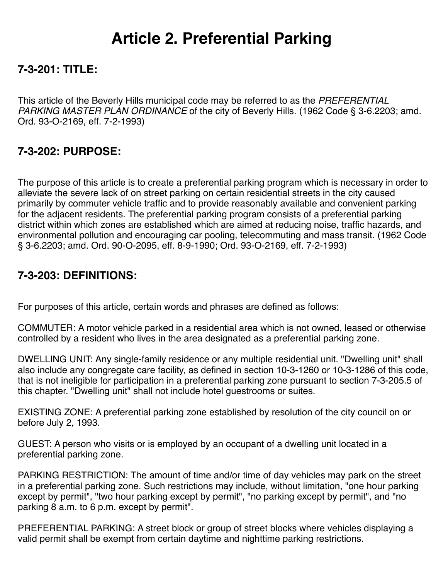# **Article 2. Preferential Parking**

## **7-3-201: TITLE:**

This article of the Beverly Hills municipal code may be referred to as the *PREFERENTIAL PARKING MASTER PLAN ORDINANCE* of the city of Beverly Hills. (1962 Code § 3-6.2203; amd. Ord. 93-O-2169, eff. 7-2-1993)

## **7-3-202: PURPOSE:**

The purpose of this article is to create a preferential parking program which is necessary in order to alleviate the severe lack of on street parking on certain residential streets in the city caused primarily by commuter vehicle traffic and to provide reasonably available and convenient parking for the adjacent residents. The preferential parking program consists of a preferential parking district within which zones are established which are aimed at reducing noise, traffic hazards, and environmental pollution and encouraging car pooling, telecommuting and mass transit. (1962 Code § 3-6.2203; amd. Ord. 90-O-2095, eff. 8-9-1990; Ord. 93-O-2169, eff. 7-2-1993)

#### **7-3-203: DEFINITIONS:**

For purposes of this article, certain words and phrases are defined as follows:

COMMUTER: A motor vehicle parked in a residential area which is not owned, leased or otherwise controlled by a resident who lives in the area designated as a preferential parking zone.

DWELLING UNIT: Any single-family residence or any multiple residential unit. "Dwelling unit" shall also include any congregate care facility, as defined in section 10-3-1260 or 10-3-1286 of this code, that is not ineligible for participation in a preferential parking zone pursuant to section 7-3-205.5 of this chapter. "Dwelling unit" shall not include hotel guestrooms or suites.

EXISTING ZONE: A preferential parking zone established by resolution of the city council on or before July 2, 1993.

GUEST: A person who visits or is employed by an occupant of a dwelling unit located in a preferential parking zone.

PARKING RESTRICTION: The amount of time and/or time of day vehicles may park on the street in a preferential parking zone. Such restrictions may include, without limitation, "one hour parking except by permit", "two hour parking except by permit", "no parking except by permit", and "no parking 8 a.m. to 6 p.m. except by permit".

PREFERENTIAL PARKING: A street block or group of street blocks where vehicles displaying a valid permit shall be exempt from certain daytime and nighttime parking restrictions.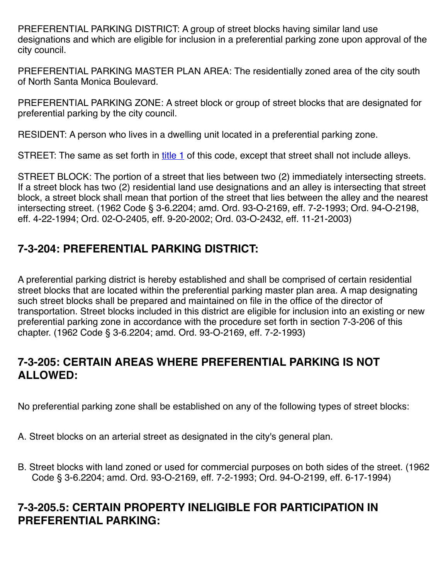PREFERENTIAL PARKING DISTRICT: A group of street blocks having similar land use designations and which are eligible for inclusion in a preferential parking zone upon approval of the city council.

PREFERENTIAL PARKING MASTER PLAN AREA: The residentially zoned area of the city south of North Santa Monica Boulevard.

PREFERENTIAL PARKING ZONE: A street block or group of street blocks that are designated for preferential parking by the city council.

RESIDENT: A person who lives in a dwelling unit located in a preferential parking zone.

STREET: The same as set forth in [title 1](https://www.sterlingcodifiers.com/codebook/printnow.php?ft=1&find=1) of this code, except that street shall not include alleys.

STREET BLOCK: The portion of a street that lies between two (2) immediately intersecting streets. If a street block has two (2) residential land use designations and an alley is intersecting that street block, a street block shall mean that portion of the street that lies between the alley and the nearest intersecting street. (1962 Code § 3-6.2204; amd. Ord. 93-O-2169, eff. 7-2-1993; Ord. 94-O-2198, eff. 4-22-1994; Ord. 02-O-2405, eff. 9-20-2002; Ord. 03-O-2432, eff. 11-21-2003)

# **7-3-204: PREFERENTIAL PARKING DISTRICT:**

A preferential parking district is hereby established and shall be comprised of certain residential street blocks that are located within the preferential parking master plan area. A map designating such street blocks shall be prepared and maintained on file in the office of the director of transportation. Street blocks included in this district are eligible for inclusion into an existing or new preferential parking zone in accordance with the procedure set forth in section 7-3-206 of this chapter. (1962 Code § 3-6.2204; amd. Ord. 93-O-2169, eff. 7-2-1993)

#### **7-3-205: CERTAIN AREAS WHERE PREFERENTIAL PARKING IS NOT ALLOWED:**

No preferential parking zone shall be established on any of the following types of street blocks:

A. Street blocks on an arterial street as designated in the city's general plan.

B. Street blocks with land zoned or used for commercial purposes on both sides of the street. (1962 Code § 3-6.2204; amd. Ord. 93-O-2169, eff. 7-2-1993; Ord. 94-O-2199, eff. 6-17-1994)

#### **7-3-205.5: CERTAIN PROPERTY INELIGIBLE FOR PARTICIPATION IN PREFERENTIAL PARKING:**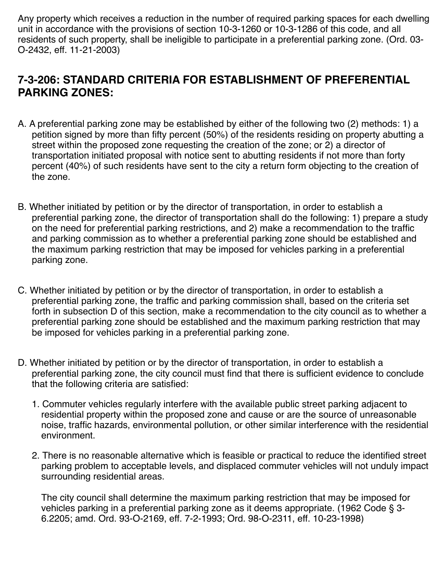Any property which receives a reduction in the number of required parking spaces for each dwelling unit in accordance with the provisions of section 10-3-1260 or 10-3-1286 of this code, and all residents of such property, shall be ineligible to participate in a preferential parking zone. (Ord. 03- O-2432, eff. 11-21-2003)

#### **7-3-206: STANDARD CRITERIA FOR ESTABLISHMENT OF PREFERENTIAL PARKING ZONES:**

- A. A preferential parking zone may be established by either of the following two (2) methods: 1) a petition signed by more than fifty percent (50%) of the residents residing on property abutting a street within the proposed zone requesting the creation of the zone; or 2) a director of transportation initiated proposal with notice sent to abutting residents if not more than forty percent (40%) of such residents have sent to the city a return form objecting to the creation of the zone.
- B. Whether initiated by petition or by the director of transportation, in order to establish a preferential parking zone, the director of transportation shall do the following: 1) prepare a study on the need for preferential parking restrictions, and 2) make a recommendation to the traffic and parking commission as to whether a preferential parking zone should be established and the maximum parking restriction that may be imposed for vehicles parking in a preferential parking zone.
- C. Whether initiated by petition or by the director of transportation, in order to establish a preferential parking zone, the traffic and parking commission shall, based on the criteria set forth in subsection D of this section, make a recommendation to the city council as to whether a preferential parking zone should be established and the maximum parking restriction that may be imposed for vehicles parking in a preferential parking zone.
- D. Whether initiated by petition or by the director of transportation, in order to establish a preferential parking zone, the city council must find that there is sufficient evidence to conclude that the following criteria are satisfied:
	- 1. Commuter vehicles regularly interfere with the available public street parking adjacent to residential property within the proposed zone and cause or are the source of unreasonable noise, traffic hazards, environmental pollution, or other similar interference with the residential environment.
	- 2. There is no reasonable alternative which is feasible or practical to reduce the identified street parking problem to acceptable levels, and displaced commuter vehicles will not unduly impact surrounding residential areas.

The city council shall determine the maximum parking restriction that may be imposed for vehicles parking in a preferential parking zone as it deems appropriate. (1962 Code § 3- 6.2205; amd. Ord. 93-O-2169, eff. 7-2-1993; Ord. 98-O-2311, eff. 10-23-1998)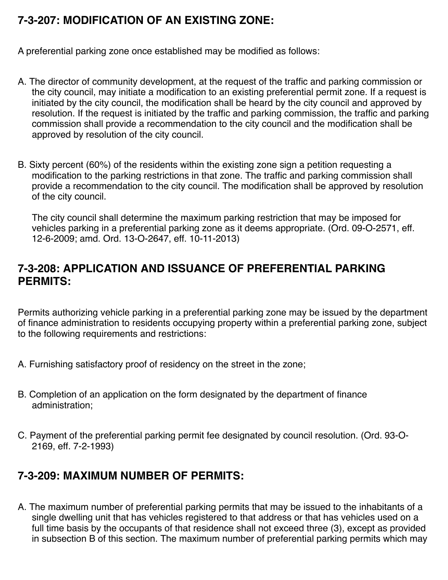# **7-3-207: MODIFICATION OF AN EXISTING ZONE:**

A preferential parking zone once established may be modified as follows:

- A. The director of community development, at the request of the traffic and parking commission or the city council, may initiate a modification to an existing preferential permit zone. If a request is initiated by the city council, the modification shall be heard by the city council and approved by resolution. If the request is initiated by the traffic and parking commission, the traffic and parking commission shall provide a recommendation to the city council and the modification shall be approved by resolution of the city council.
- B. Sixty percent (60%) of the residents within the existing zone sign a petition requesting a modification to the parking restrictions in that zone. The traffic and parking commission shall provide a recommendation to the city council. The modification shall be approved by resolution of the city council.

The city council shall determine the maximum parking restriction that may be imposed for vehicles parking in a preferential parking zone as it deems appropriate. (Ord. 09-O-2571, eff. 12-6-2009; amd. Ord. 13-O-2647, eff. 10-11-2013)

#### **7-3-208: APPLICATION AND ISSUANCE OF PREFERENTIAL PARKING PERMITS:**

Permits authorizing vehicle parking in a preferential parking zone may be issued by the department of finance administration to residents occupying property within a preferential parking zone, subject to the following requirements and restrictions:

- A. Furnishing satisfactory proof of residency on the street in the zone;
- B. Completion of an application on the form designated by the department of finance administration;
- C. Payment of the preferential parking permit fee designated by council resolution. (Ord. 93-O-2169, eff. 7-2-1993)

## **7-3-209: MAXIMUM NUMBER OF PERMITS:**

A. The maximum number of preferential parking permits that may be issued to the inhabitants of a single dwelling unit that has vehicles registered to that address or that has vehicles used on a full time basis by the occupants of that residence shall not exceed three (3), except as provided in subsection B of this section. The maximum number of preferential parking permits which may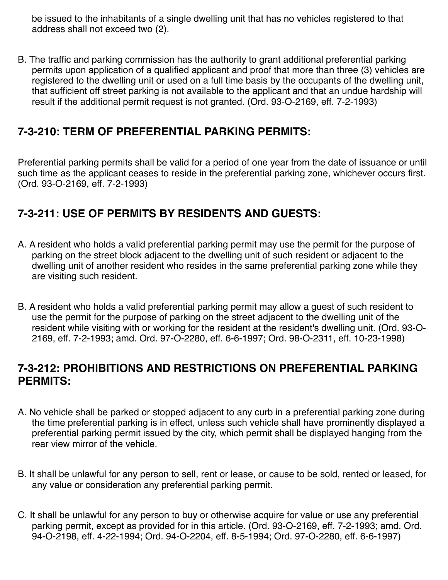be issued to the inhabitants of a single dwelling unit that has no vehicles registered to that address shall not exceed two (2).

B. The traffic and parking commission has the authority to grant additional preferential parking permits upon application of a qualified applicant and proof that more than three (3) vehicles are registered to the dwelling unit or used on a full time basis by the occupants of the dwelling unit, that sufficient off street parking is not available to the applicant and that an undue hardship will result if the additional permit request is not granted. (Ord. 93-O-2169, eff. 7-2-1993)

#### **7-3-210: TERM OF PREFERENTIAL PARKING PERMITS:**

Preferential parking permits shall be valid for a period of one year from the date of issuance or until such time as the applicant ceases to reside in the preferential parking zone, whichever occurs first. (Ord. 93-O-2169, eff. 7-2-1993)

# **7-3-211: USE OF PERMITS BY RESIDENTS AND GUESTS:**

- A. A resident who holds a valid preferential parking permit may use the permit for the purpose of parking on the street block adjacent to the dwelling unit of such resident or adjacent to the dwelling unit of another resident who resides in the same preferential parking zone while they are visiting such resident.
- B. A resident who holds a valid preferential parking permit may allow a guest of such resident to use the permit for the purpose of parking on the street adjacent to the dwelling unit of the resident while visiting with or working for the resident at the resident's dwelling unit. (Ord. 93-O-2169, eff. 7-2-1993; amd. Ord. 97-O-2280, eff. 6-6-1997; Ord. 98-O-2311, eff. 10-23-1998)

#### **7-3-212: PROHIBITIONS AND RESTRICTIONS ON PREFERENTIAL PARKING PERMITS:**

- A. No vehicle shall be parked or stopped adjacent to any curb in a preferential parking zone during the time preferential parking is in effect, unless such vehicle shall have prominently displayed a preferential parking permit issued by the city, which permit shall be displayed hanging from the rear view mirror of the vehicle.
- B. It shall be unlawful for any person to sell, rent or lease, or cause to be sold, rented or leased, for any value or consideration any preferential parking permit.
- C. It shall be unlawful for any person to buy or otherwise acquire for value or use any preferential parking permit, except as provided for in this article. (Ord. 93-O-2169, eff. 7-2-1993; amd. Ord. 94-O-2198, eff. 4-22-1994; Ord. 94-O-2204, eff. 8-5-1994; Ord. 97-O-2280, eff. 6-6-1997)